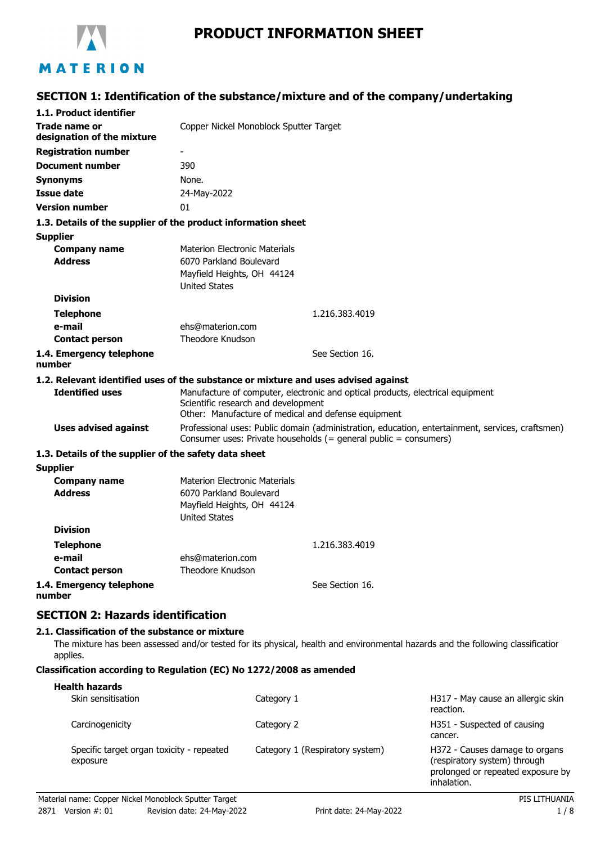

# **PRODUCT INFORMATION SHEET**

## **SECTION 1: Identification of the substance/mixture and of the company/undertaking**

| 1.1. Product identifier                                     |                                                                                                                                                                              |
|-------------------------------------------------------------|------------------------------------------------------------------------------------------------------------------------------------------------------------------------------|
| <b>Trade name or</b><br>designation of the mixture          | Copper Nickel Monoblock Sputter Target                                                                                                                                       |
| <b>Registration number</b>                                  | $\overline{\phantom{a}}$                                                                                                                                                     |
| <b>Document number</b>                                      | 390                                                                                                                                                                          |
| <b>Synonyms</b>                                             | None.                                                                                                                                                                        |
| <b>Issue date</b>                                           | 24-May-2022                                                                                                                                                                  |
| <b>Version number</b>                                       | 01                                                                                                                                                                           |
|                                                             | 1.3. Details of the supplier of the product information sheet                                                                                                                |
| <b>Supplier</b>                                             |                                                                                                                                                                              |
| <b>Company name</b><br><b>Address</b>                       | <b>Materion Electronic Materials</b><br>6070 Parkland Boulevard<br>Mayfield Heights, OH 44124<br><b>United States</b>                                                        |
| <b>Division</b>                                             |                                                                                                                                                                              |
| <b>Telephone</b>                                            | 1.216.383.4019                                                                                                                                                               |
| e-mail                                                      | ehs@materion.com                                                                                                                                                             |
| <b>Contact person</b>                                       | Theodore Knudson                                                                                                                                                             |
| 1.4. Emergency telephone<br>number                          | See Section 16.                                                                                                                                                              |
|                                                             | 1.2. Relevant identified uses of the substance or mixture and uses advised against                                                                                           |
| <b>Identified uses</b>                                      | Manufacture of computer, electronic and optical products, electrical equipment<br>Scientific research and development<br>Other: Manufacture of medical and defense equipment |
| <b>Uses advised against</b>                                 | Professional uses: Public domain (administration, education, entertainment, services, craftsmen)<br>Consumer uses: Private households (= general public = consumers)         |
| 1.3. Details of the supplier of the safety data sheet       |                                                                                                                                                                              |
| <b>Supplier</b>                                             |                                                                                                                                                                              |
| <b>Company name</b><br><b>Address</b>                       | <b>Materion Electronic Materials</b><br>6070 Parkland Boulevard<br>Mayfield Heights, OH 44124<br><b>United States</b>                                                        |
| <b>Division</b>                                             |                                                                                                                                                                              |
| <b>Telephone</b>                                            | 1.216.383.4019                                                                                                                                                               |
| e-mail                                                      | ehs@materion.com                                                                                                                                                             |
| <b>Contact person</b>                                       | Theodore Knudson                                                                                                                                                             |
| 1.4. Emergency telephone<br>number                          | See Section 16.                                                                                                                                                              |
| <b>SECTION 2: Hazards identification</b>                    |                                                                                                                                                                              |
| 2.1. Classification of the substance or mixture<br>applies. | The mixture has been assessed and/or tested for its physical, health and environmental hazards and the following classificatior                                              |

#### **Classification according to Regulation (EC) No 1272/2008 as amended**

| <b>Health hazards</b>                                 |                                 |                                                                                                                    |
|-------------------------------------------------------|---------------------------------|--------------------------------------------------------------------------------------------------------------------|
| Skin sensitisation                                    | Category 1                      | H317 - May cause an allergic skin<br>reaction.                                                                     |
| Carcinogenicity                                       | Category 2                      | H351 - Suspected of causing<br>cancer.                                                                             |
| Specific target organ toxicity - repeated<br>exposure | Category 1 (Respiratory system) | H372 - Causes damage to organs<br>(respiratory system) through<br>prolonged or repeated exposure by<br>inhalation. |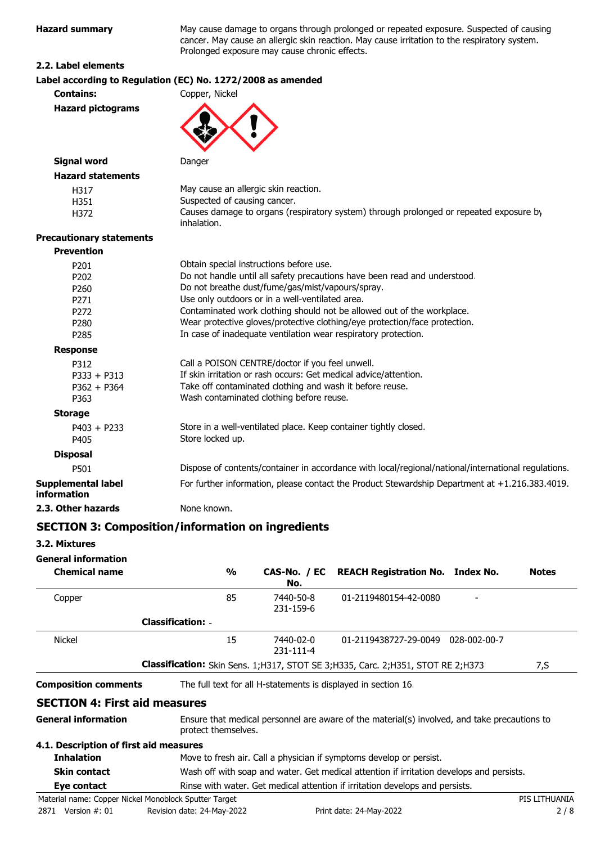**Hazard summary** May cause damage to organs through prolonged or repeated exposure. Suspected of causing cancer. May cause an allergic skin reaction. May cause irritation to the respiratory system. Prolonged exposure may cause chronic effects.

#### **2.2. Label elements**

|                                          | Label according to Regulation (EC) No. 1272/2008 as amended                                           |  |  |
|------------------------------------------|-------------------------------------------------------------------------------------------------------|--|--|
| <b>Contains:</b>                         | Copper, Nickel                                                                                        |  |  |
| <b>Hazard pictograms</b>                 |                                                                                                       |  |  |
|                                          |                                                                                                       |  |  |
| <b>Signal word</b>                       | Danger                                                                                                |  |  |
| <b>Hazard statements</b>                 |                                                                                                       |  |  |
| H317                                     | May cause an allergic skin reaction.                                                                  |  |  |
| H351                                     | Suspected of causing cancer.                                                                          |  |  |
| H372                                     | Causes damage to organs (respiratory system) through prolonged or repeated exposure by<br>inhalation. |  |  |
| <b>Precautionary statements</b>          |                                                                                                       |  |  |
| <b>Prevention</b>                        |                                                                                                       |  |  |
| P201                                     | Obtain special instructions before use.                                                               |  |  |
| P202                                     | Do not handle until all safety precautions have been read and understood.                             |  |  |
| P260                                     | Do not breathe dust/fume/gas/mist/vapours/spray.                                                      |  |  |
| P271                                     | Use only outdoors or in a well-ventilated area.                                                       |  |  |
| P272                                     | Contaminated work clothing should not be allowed out of the workplace.                                |  |  |
| P280                                     | Wear protective gloves/protective clothing/eye protection/face protection.                            |  |  |
| P285                                     | In case of inadequate ventilation wear respiratory protection.                                        |  |  |
| <b>Response</b>                          |                                                                                                       |  |  |
| P312                                     | Call a POISON CENTRE/doctor if you feel unwell.                                                       |  |  |
| $P333 + P313$                            | If skin irritation or rash occurs: Get medical advice/attention.                                      |  |  |
| $P362 + P364$                            | Take off contaminated clothing and wash it before reuse.                                              |  |  |
| P363                                     | Wash contaminated clothing before reuse.                                                              |  |  |
| <b>Storage</b>                           |                                                                                                       |  |  |
| $P403 + P233$                            | Store in a well-ventilated place. Keep container tightly closed.                                      |  |  |
| P405                                     | Store locked up.                                                                                      |  |  |
| <b>Disposal</b>                          |                                                                                                       |  |  |
| P501                                     | Dispose of contents/container in accordance with local/regional/national/international regulations.   |  |  |
| <b>Supplemental label</b><br>information | For further information, please contact the Product Stewardship Department at +1.216.383.4019.        |  |  |
| 2.3. Other hazards                       | None known.                                                                                           |  |  |

### **SECTION 3: Composition/information on ingredients**

**3.2. Mixtures**

**General information**

| <b>Chemical name</b>                   | $\frac{0}{0}$            | No.                    | CAS-No. / EC REACH Registration No. Index No.                                                | <b>Notes</b> |
|----------------------------------------|--------------------------|------------------------|----------------------------------------------------------------------------------------------|--------------|
| Copper                                 | 85                       | 7440-50-8<br>231-159-6 | 01-2119480154-42-0080                                                                        |              |
|                                        | <b>Classification: -</b> |                        |                                                                                              |              |
| <b>Nickel</b>                          | 15                       | 7440-02-0<br>231-111-4 | 01-2119438727-29-0049 028-002-00-7                                                           |              |
|                                        |                          |                        | <b>Classification:</b> Skin Sens. 1;H317, STOT SE 3;H335, Carc. 2;H351, STOT RE 2;H373       | 7,S          |
| <b>Composition comments</b>            |                          |                        | The full text for all H-statements is displayed in section 16.                               |              |
| <b>SECTION 4: First aid measures</b>   |                          |                        |                                                                                              |              |
| <b>General information</b>             | protect themselves.      |                        | Ensure that medical personnel are aware of the material(s) involved, and take precautions to |              |
| 4.1. Description of first aid measures |                          |                        |                                                                                              |              |
| <b>Inhalation</b>                      |                          |                        | Move to fresh air. Call a physician if symptoms develop or persist.                          |              |
|                                        |                          |                        |                                                                                              |              |

## **Skin contact** Wash off with soap and water. Get medical attention if irritation develops and persists.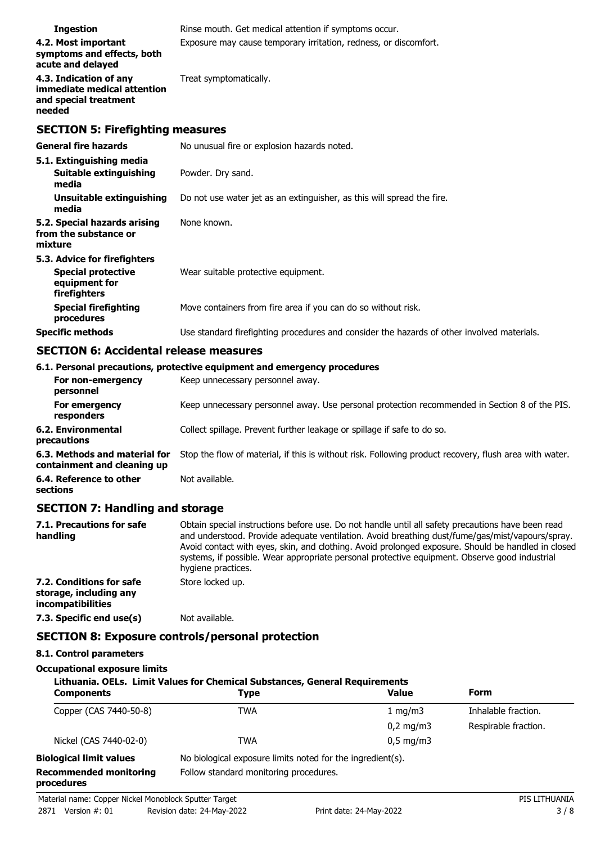| <b>Ingestion</b>                                                                           | Rinse mouth. Get medical attention if symptoms occur.                                      |
|--------------------------------------------------------------------------------------------|--------------------------------------------------------------------------------------------|
| 4.2. Most important<br>symptoms and effects, both<br>acute and delayed                     | Exposure may cause temporary irritation, redness, or discomfort.                           |
| 4.3. Indication of any<br>immediate medical attention<br>and special treatment<br>needed   | Treat symptomatically.                                                                     |
| <b>SECTION 5: Firefighting measures</b>                                                    |                                                                                            |
| <b>General fire hazards</b>                                                                | No unusual fire or explosion hazards noted.                                                |
| 5.1. Extinguishing media<br><b>Suitable extinguishing</b><br>media                         | Powder. Dry sand.                                                                          |
| Unsuitable extinguishing<br>media                                                          | Do not use water jet as an extinguisher, as this will spread the fire.                     |
| 5.2. Special hazards arising<br>from the substance or<br>mixture                           | None known.                                                                                |
| 5.3. Advice for firefighters<br><b>Special protective</b><br>equipment for<br>firefighters | Wear suitable protective equipment.                                                        |
| <b>Special firefighting</b><br>procedures                                                  | Move containers from fire area if you can do so without risk.                              |
| <b>Specific methods</b>                                                                    | Use standard firefighting procedures and consider the hazards of other involved materials. |

## **SECTION 6: Accidental release measures**

|                                                              | 6.1. Personal precautions, protective equipment and emergency procedures                               |
|--------------------------------------------------------------|--------------------------------------------------------------------------------------------------------|
| For non-emergency<br>personnel                               | Keep unnecessary personnel away.                                                                       |
| For emergency<br>responders                                  | Keep unnecessary personnel away. Use personal protection recommended in Section 8 of the PIS.          |
| 6.2. Environmental<br>precautions                            | Collect spillage. Prevent further leakage or spillage if safe to do so.                                |
| 6.3. Methods and material for<br>containment and cleaning up | Stop the flow of material, if this is without risk. Following product recovery, flush area with water. |
| 6.4. Reference to other<br>sections                          | Not available.                                                                                         |

## **SECTION 7: Handling and storage**

| 7.1. Precautions for safe<br>handling                                   | Obtain special instructions before use. Do not handle until all safety precautions have been read<br>and understood. Provide adequate ventilation. Avoid breathing dust/fume/gas/mist/vapours/spray.<br>Avoid contact with eyes, skin, and clothing. Avoid prolonged exposure. Should be handled in closed<br>systems, if possible. Wear appropriate personal protective equipment. Observe good industrial<br>hygiene practices. |
|-------------------------------------------------------------------------|-----------------------------------------------------------------------------------------------------------------------------------------------------------------------------------------------------------------------------------------------------------------------------------------------------------------------------------------------------------------------------------------------------------------------------------|
| 7.2. Conditions for safe<br>storage, including any<br>incompatibilities | Store locked up.                                                                                                                                                                                                                                                                                                                                                                                                                  |
| 7.3. Specific end use(s)                                                | Not available.                                                                                                                                                                                                                                                                                                                                                                                                                    |

### **SECTION 8: Exposure controls/personal protection**

### **8.1. Control parameters**

### **Occupational exposure limits**

| Lithuania. OELs. Limit Values for Chemical Substances, General Requirements<br>Form<br><b>Value</b><br><b>Components</b><br><b>Type</b> |                                                            |                    |                      |  |
|-----------------------------------------------------------------------------------------------------------------------------------------|------------------------------------------------------------|--------------------|----------------------|--|
| Copper (CAS 7440-50-8)                                                                                                                  | <b>TWA</b>                                                 | $1 \text{ mg/m}$   | Inhalable fraction.  |  |
|                                                                                                                                         |                                                            | $0.2 \text{ mg/m}$ | Respirable fraction. |  |
| Nickel (CAS 7440-02-0)                                                                                                                  | <b>TWA</b>                                                 | $0.5 \text{ mg/m}$ |                      |  |
| <b>Biological limit values</b>                                                                                                          | No biological exposure limits noted for the ingredient(s). |                    |                      |  |
| <b>Recommended monitoring</b><br>procedures                                                                                             | Follow standard monitoring procedures.                     |                    |                      |  |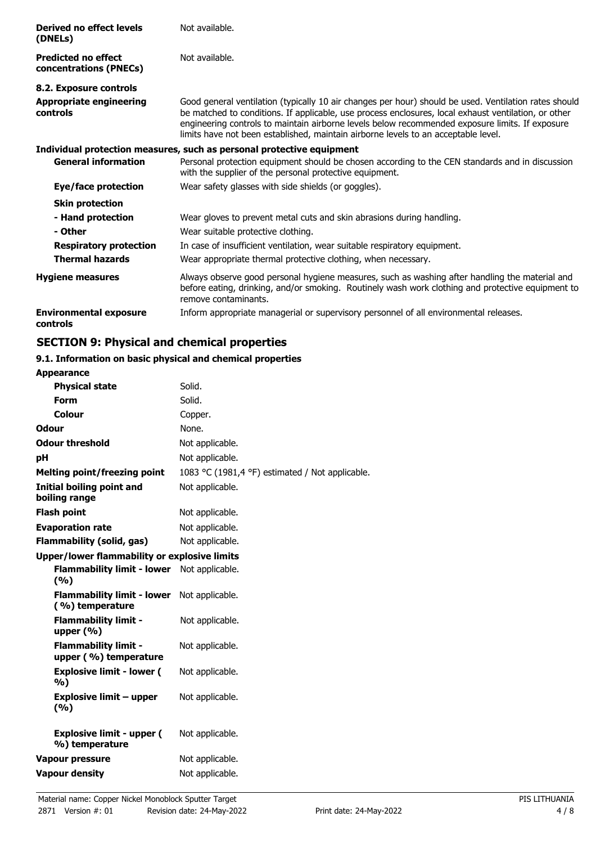| Derived no effect levels<br>(DNELs)                  | Not available.                                                                                                                                                                                                                                                                                                                                                                                         |
|------------------------------------------------------|--------------------------------------------------------------------------------------------------------------------------------------------------------------------------------------------------------------------------------------------------------------------------------------------------------------------------------------------------------------------------------------------------------|
| <b>Predicted no effect</b><br>concentrations (PNECs) | Not available.                                                                                                                                                                                                                                                                                                                                                                                         |
| 8.2. Exposure controls                               |                                                                                                                                                                                                                                                                                                                                                                                                        |
| <b>Appropriate engineering</b><br>controls           | Good general ventilation (typically 10 air changes per hour) should be used. Ventilation rates should<br>be matched to conditions. If applicable, use process enclosures, local exhaust ventilation, or other<br>engineering controls to maintain airborne levels below recommended exposure limits. If exposure<br>limits have not been established, maintain airborne levels to an acceptable level. |
|                                                      | Individual protection measures, such as personal protective equipment                                                                                                                                                                                                                                                                                                                                  |
| <b>General information</b>                           | Personal protection equipment should be chosen according to the CEN standards and in discussion<br>with the supplier of the personal protective equipment.                                                                                                                                                                                                                                             |
| Eye/face protection                                  | Wear safety glasses with side shields (or goggles).                                                                                                                                                                                                                                                                                                                                                    |
| <b>Skin protection</b>                               |                                                                                                                                                                                                                                                                                                                                                                                                        |
| - Hand protection                                    | Wear gloves to prevent metal cuts and skin abrasions during handling.                                                                                                                                                                                                                                                                                                                                  |
| - Other                                              | Wear suitable protective clothing.                                                                                                                                                                                                                                                                                                                                                                     |
| <b>Respiratory protection</b>                        | In case of insufficient ventilation, wear suitable respiratory equipment.                                                                                                                                                                                                                                                                                                                              |
| <b>Thermal hazards</b>                               | Wear appropriate thermal protective clothing, when necessary.                                                                                                                                                                                                                                                                                                                                          |
| <b>Hygiene measures</b>                              | Always observe good personal hygiene measures, such as washing after handling the material and<br>before eating, drinking, and/or smoking. Routinely wash work clothing and protective equipment to<br>remove contaminants.                                                                                                                                                                            |
| <b>Environmental exposure</b><br>controls            | Inform appropriate managerial or supervisory personnel of all environmental releases.                                                                                                                                                                                                                                                                                                                  |

## **SECTION 9: Physical and chemical properties**

#### **9.1. Information on basic physical and chemical properties Appearance**

| Appearance                                           |                                                 |
|------------------------------------------------------|-------------------------------------------------|
| <b>Physical state</b>                                | Solid.                                          |
| <b>Form</b>                                          | Solid.                                          |
| Colour                                               | Copper.                                         |
| Odour                                                | None.                                           |
| <b>Odour threshold</b>                               | Not applicable.                                 |
| pH                                                   | Not applicable.                                 |
| <b>Melting point/freezing point</b>                  | 1083 °C (1981,4 °F) estimated / Not applicable. |
| Initial boiling point and<br>boiling range           | Not applicable.                                 |
| <b>Flash point</b>                                   | Not applicable.                                 |
| <b>Evaporation rate</b>                              | Not applicable.                                 |
| <b>Flammability (solid, gas)</b>                     | Not applicable.                                 |
| <b>Upper/lower flammability or explosive limits</b>  |                                                 |
| <b>Flammability limit - lower</b><br>(%)             | Not applicable.                                 |
| <b>Flammability limit - lower</b><br>(%) temperature | Not applicable.                                 |
| <b>Flammability limit -</b><br>upper $(% )$          | Not applicable.                                 |
| <b>Flammability limit -</b><br>upper (%) temperature | Not applicable.                                 |
| <b>Explosive limit - lower (</b><br>%)               | Not applicable.                                 |
| <b>Explosive limit - upper</b><br>(9/6)              | Not applicable.                                 |
| <b>Explosive limit - upper (</b><br>%) temperature   | Not applicable.                                 |
| <b>Vapour pressure</b>                               | Not applicable.                                 |
| <b>Vapour density</b>                                | Not applicable.                                 |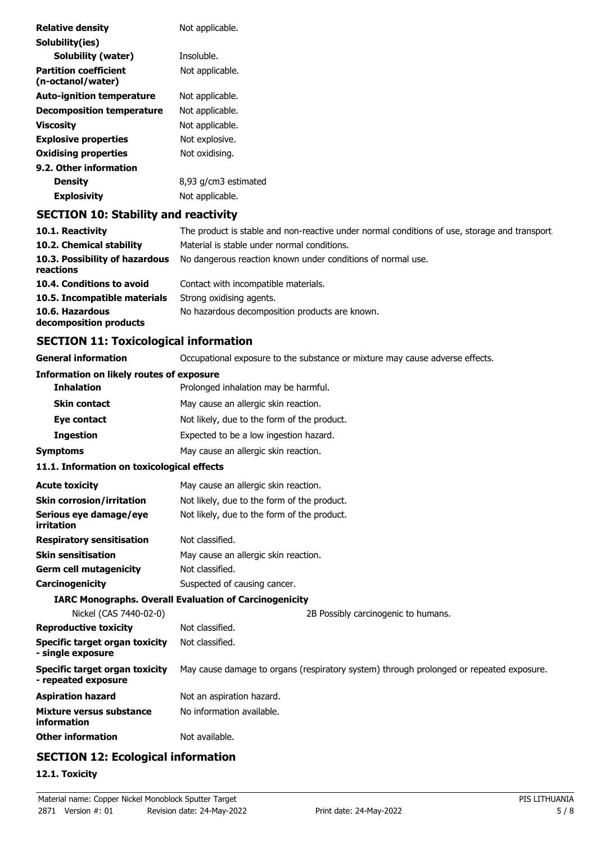| <b>Relative density</b>                           | Not applicable.                                                                               |
|---------------------------------------------------|-----------------------------------------------------------------------------------------------|
| Solubility(ies)                                   |                                                                                               |
| <b>Solubility (water)</b>                         | Insoluble.                                                                                    |
| <b>Partition coefficient</b><br>(n-octanol/water) | Not applicable.                                                                               |
| <b>Auto-ignition temperature</b>                  | Not applicable.                                                                               |
| <b>Decomposition temperature</b>                  | Not applicable.                                                                               |
| <b>Viscosity</b>                                  | Not applicable.                                                                               |
| <b>Explosive properties</b>                       | Not explosive.                                                                                |
| <b>Oxidising properties</b>                       | Not oxidising.                                                                                |
| 9.2. Other information                            |                                                                                               |
| <b>Density</b>                                    | 8,93 g/cm3 estimated                                                                          |
| <b>Explosivity</b>                                | Not applicable.                                                                               |
| <b>SECTION 10: Stability and reactivity</b>       |                                                                                               |
| 10.1. Reactivity                                  | The product is stable and non-reactive under normal conditions of use, storage and transport. |

| The product is stable and non-reactive under normal conditions of use, storage and transport |
|----------------------------------------------------------------------------------------------|
| Material is stable under normal conditions.                                                  |
| No dangerous reaction known under conditions of normal use.                                  |
| Contact with incompatible materials.                                                         |
| Strong oxidising agents.                                                                     |
| No hazardous decomposition products are known.                                               |
|                                                                                              |

# **SECTION 11: Toxicological information**

| <b>General information</b>                                 | Occupational exposure to the substance or mixture may cause adverse effects.            |  |  |
|------------------------------------------------------------|-----------------------------------------------------------------------------------------|--|--|
| <b>Information on likely routes of exposure</b>            |                                                                                         |  |  |
| <b>Inhalation</b>                                          | Prolonged inhalation may be harmful.                                                    |  |  |
| <b>Skin contact</b>                                        | May cause an allergic skin reaction.                                                    |  |  |
| Eye contact                                                | Not likely, due to the form of the product.                                             |  |  |
| <b>Ingestion</b>                                           | Expected to be a low ingestion hazard.                                                  |  |  |
| <b>Symptoms</b>                                            | May cause an allergic skin reaction.                                                    |  |  |
| 11.1. Information on toxicological effects                 |                                                                                         |  |  |
| <b>Acute toxicity</b>                                      | May cause an allergic skin reaction.                                                    |  |  |
| <b>Skin corrosion/irritation</b>                           | Not likely, due to the form of the product.                                             |  |  |
| Serious eye damage/eye<br>irritation                       | Not likely, due to the form of the product.                                             |  |  |
| <b>Respiratory sensitisation</b>                           | Not classified.                                                                         |  |  |
| <b>Skin sensitisation</b>                                  | May cause an allergic skin reaction.                                                    |  |  |
| <b>Germ cell mutagenicity</b>                              | Not classified.                                                                         |  |  |
| Carcinogenicity                                            | Suspected of causing cancer.                                                            |  |  |
|                                                            | <b>IARC Monographs. Overall Evaluation of Carcinogenicity</b>                           |  |  |
| Nickel (CAS 7440-02-0)                                     | 2B Possibly carcinogenic to humans.                                                     |  |  |
| <b>Reproductive toxicity</b>                               | Not classified.                                                                         |  |  |
| <b>Specific target organ toxicity</b><br>- single exposure | Not classified.                                                                         |  |  |
| Specific target organ toxicity<br>- repeated exposure      | May cause damage to organs (respiratory system) through prolonged or repeated exposure. |  |  |
| <b>Aspiration hazard</b>                                   | Not an aspiration hazard.                                                               |  |  |
| Mixture versus substance<br>information                    | No information available.                                                               |  |  |
| <b>Other information</b>                                   | Not available.                                                                          |  |  |
|                                                            |                                                                                         |  |  |

# **SECTION 12: Ecological information**

## **12.1. Toxicity**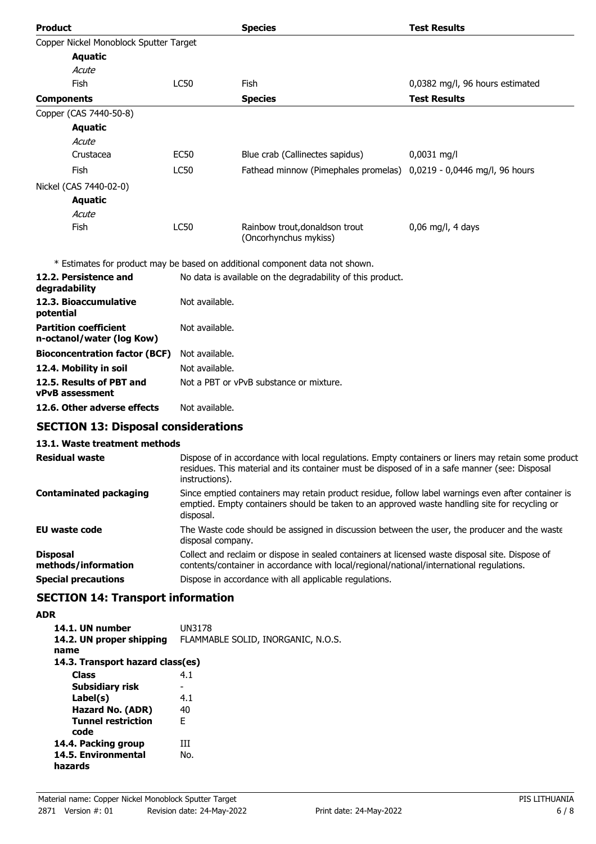| <b>Product</b>                                            |                | <b>Species</b>                                                               | <b>Test Results</b>             |
|-----------------------------------------------------------|----------------|------------------------------------------------------------------------------|---------------------------------|
| Copper Nickel Monoblock Sputter Target                    |                |                                                                              |                                 |
| <b>Aquatic</b>                                            |                |                                                                              |                                 |
| Acute                                                     |                |                                                                              |                                 |
| Fish                                                      | <b>LC50</b>    | Fish                                                                         | 0,0382 mg/l, 96 hours estimated |
| <b>Components</b>                                         |                | <b>Species</b>                                                               | <b>Test Results</b>             |
| Copper (CAS 7440-50-8)                                    |                |                                                                              |                                 |
| <b>Aquatic</b>                                            |                |                                                                              |                                 |
| Acute                                                     |                |                                                                              |                                 |
| Crustacea                                                 | <b>EC50</b>    | Blue crab (Callinectes sapidus)                                              | $0,0031$ mg/l                   |
| Fish                                                      | <b>LC50</b>    | Fathead minnow (Pimephales promelas) 0,0219 - 0,0446 mg/l, 96 hours          |                                 |
| Nickel (CAS 7440-02-0)                                    |                |                                                                              |                                 |
| <b>Aquatic</b>                                            |                |                                                                              |                                 |
| Acute                                                     |                |                                                                              |                                 |
| Fish                                                      | <b>LC50</b>    | Rainbow trout, donaldson trout<br>(Oncorhynchus mykiss)                      | $0,06$ mg/l, 4 days             |
|                                                           |                | * Estimates for product may be based on additional component data not shown. |                                 |
| 12.2. Persistence and<br>degradability                    |                | No data is available on the degradability of this product.                   |                                 |
| 12.3. Bioaccumulative<br>potential                        | Not available. |                                                                              |                                 |
| <b>Partition coefficient</b><br>n-octanol/water (log Kow) | Not available. |                                                                              |                                 |

| <b>Bioconcentration factor (BCF)</b> Not available. |                                         |
|-----------------------------------------------------|-----------------------------------------|
| 12.4. Mobility in soil                              | Not available.                          |
| 12.5. Results of PBT and                            | Not a PBT or vPvB substance or mixture. |
| vPvB assessment                                     |                                         |

**12.6. Other adverse effects** Not available.

## **SECTION 13: Disposal considerations**

### **13.1. Waste treatment methods**

| <b>Residual waste</b>                  | Dispose of in accordance with local regulations. Empty containers or liners may retain some product<br>residues. This material and its container must be disposed of in a safe manner (see: Disposal<br>instructions). |
|----------------------------------------|------------------------------------------------------------------------------------------------------------------------------------------------------------------------------------------------------------------------|
| <b>Contaminated packaging</b>          | Since emptied containers may retain product residue, follow label warnings even after container is<br>emptied. Empty containers should be taken to an approved waste handling site for recycling or<br>disposal.       |
| <b>EU waste code</b>                   | The Waste code should be assigned in discussion between the user, the producer and the waste<br>disposal company.                                                                                                      |
| <b>Disposal</b><br>methods/information | Collect and reclaim or dispose in sealed containers at licensed waste disposal site. Dispose of<br>contents/container in accordance with local/regional/national/international regulations.                            |
| <b>Special precautions</b>             | Dispose in accordance with all applicable regulations.                                                                                                                                                                 |

# **SECTION 14: Transport information**

### **ADR**

| 14.1. UN number<br>14.2. UN proper shipping<br>name | UN3178<br>FLAMMABLE SOLID, INORGANIC, N.O.S. |
|-----------------------------------------------------|----------------------------------------------|
| 14.3. Transport hazard class(es)                    |                                              |
| <b>Class</b>                                        | 4.1                                          |
| Subsidiary risk                                     | -                                            |
| Label(s)                                            | 4.1                                          |
| Hazard No. (ADR)                                    | 40                                           |
| <b>Tunnel restriction</b><br>code                   | F                                            |
| 14.4. Packing group                                 | ĦТ                                           |
| 14.5. Environmental<br>hazards                      | No.                                          |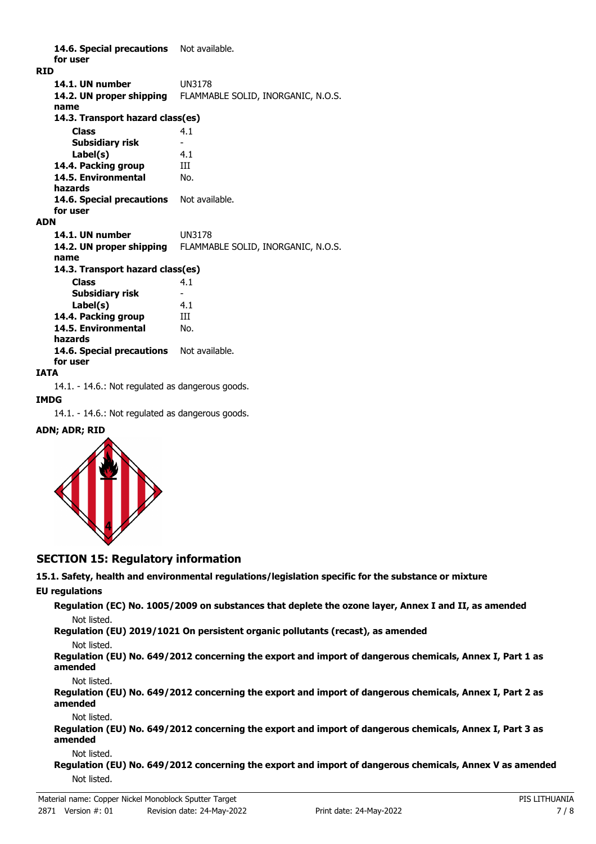14.6. Special precautions Not available. **for user RID 14.1. UN number** UN3178 **14.2. UN proper shipping** FLAMMABLE SOLID, INORGANIC, N.O.S. **name Class** 4.1 **14.3. Transport hazard class(es) Subsidiary risk Label(s)** 4.1 **14.4. Packing group III 14.5. Environmental** No. **hazards** 14.6. Special precautions Not available. **for user ADN 14.1. UN number** UN3178 **14.2. UN proper shipping** FLAMMABLE SOLID, INORGANIC, N.O.S. **name Class** 4.1 **14.3. Transport hazard class(es) Subsidiary risk Label(s)** 4.1 **14.4. Packing group III 14.5. Environmental** No. **hazards** 14.6. Special precautions Not available. **for user**

#### **IATA**

14.1. - 14.6.: Not regulated as dangerous goods.

#### **IMDG**

14.1. - 14.6.: Not regulated as dangerous goods.

#### **ADN; ADR; RID**



### **SECTION 15: Regulatory information**

**15.1. Safety, health and environmental regulations/legislation specific for the substance or mixture**

#### **EU regulations**

**Regulation (EC) No. 1005/2009 on substances that deplete the ozone layer, Annex I and II, as amended** Not listed.

**Regulation (EU) 2019/1021 On persistent organic pollutants (recast), as amended**

#### Not listed.

**Regulation (EU) No. 649/2012 concerning the export and import of dangerous chemicals, Annex I, Part 1 as amended**

Not listed.

**Regulation (EU) No. 649/2012 concerning the export and import of dangerous chemicals, Annex I, Part 2 as amended**

#### Not listed.

**Regulation (EU) No. 649/2012 concerning the export and import of dangerous chemicals, Annex I, Part 3 as amended**

#### Not listed.

**Regulation (EU) No. 649/2012 concerning the export and import of dangerous chemicals, Annex V as amended** Not listed.